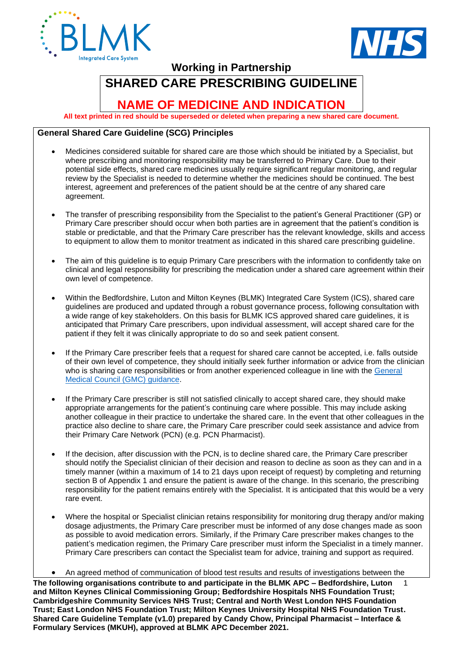



**Working in Partnership**

# **SHARED CARE PRESCRIBING GUIDELINE**

# **NAME OF MEDICINE AND INDICATION**

**All text printed in red should be superseded or deleted when preparing a new shared care document.** 

# **General Shared Care Guideline (SCG) Principles**

- Medicines considered suitable for shared care are those which should be initiated by a Specialist, but where prescribing and monitoring responsibility may be transferred to Primary Care. Due to their potential side effects, shared care medicines usually require significant regular monitoring, and regular review by the Specialist is needed to determine whether the medicines should be continued. The best interest, agreement and preferences of the patient should be at the centre of any shared care agreement.
- The transfer of prescribing responsibility from the Specialist to the patient's General Practitioner (GP) or Primary Care prescriber should occur when both parties are in agreement that the patient's condition is stable or predictable, and that the Primary Care prescriber has the relevant knowledge, skills and access to equipment to allow them to monitor treatment as indicated in this shared care prescribing guideline.
- The aim of this quideline is to equip Primary Care prescribers with the information to confidently take on clinical and legal responsibility for prescribing the medication under a shared care agreement within their own level of competence.
- Within the Bedfordshire, Luton and Milton Keynes (BLMK) Integrated Care System (ICS), shared care guidelines are produced and updated through a robust governance process, following consultation with a wide range of key stakeholders. On this basis for BLMK ICS approved shared care guidelines, it is anticipated that Primary Care prescribers, upon individual assessment, will accept shared care for the patient if they felt it was clinically appropriate to do so and seek patient consent.
- If the Primary Care prescriber feels that a request for shared care cannot be accepted, i.e. falls outside of their own level of competence, they should initially seek further information or advice from the clinician who is sharing care responsibilities or from another experienced colleague in line with the [General](https://www.gmc-uk.org/-/media/documents/prescribing-guidance-updated-english-20210405_pdf-85260533.pdf?la=en&hash=716B06E30FA2D9CA7700B94B3F55173B10F3058A)  [Medical Council \(GMC\) guidance.](https://www.gmc-uk.org/-/media/documents/prescribing-guidance-updated-english-20210405_pdf-85260533.pdf?la=en&hash=716B06E30FA2D9CA7700B94B3F55173B10F3058A)
- If the Primary Care prescriber is still not satisfied clinically to accept shared care, they should make appropriate arrangements for the patient's continuing care where possible. This may include asking another colleague in their practice to undertake the shared care. In the event that other colleagues in the practice also decline to share care, the Primary Care prescriber could seek assistance and advice from their Primary Care Network (PCN) (e.g. PCN Pharmacist).
- If the decision, after discussion with the PCN, is to decline shared care, the Primary Care prescriber should notify the Specialist clinician of their decision and reason to decline as soon as they can and in a timely manner (within a maximum of 14 to 21 days upon receipt of request) by completing and returning section B of Appendix 1 and ensure the patient is aware of the change. In this scenario, the prescribing responsibility for the patient remains entirely with the Specialist. It is anticipated that this would be a very rare event.
- Where the hospital or Specialist clinician retains responsibility for monitoring drug therapy and/or making dosage adjustments, the Primary Care prescriber must be informed of any dose changes made as soon as possible to avoid medication errors. Similarly, if the Primary Care prescriber makes changes to the patient's medication regimen, the Primary Care prescriber must inform the Specialist in a timely manner. Primary Care prescribers can contact the Specialist team for advice, training and support as required.
- An agreed method of communication of blood test results and results of investigations between the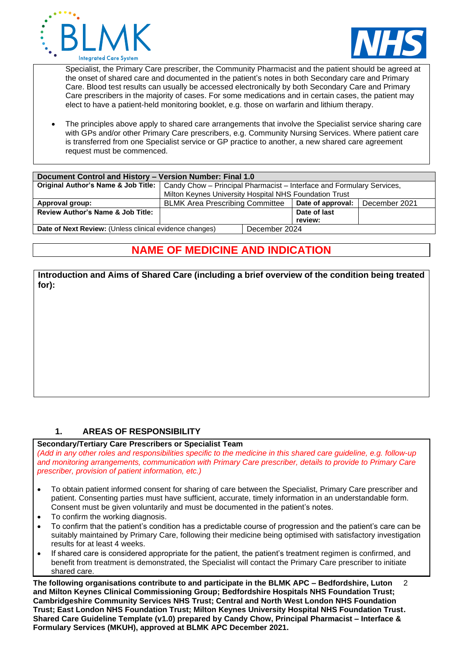



Specialist, the Primary Care prescriber, the Community Pharmacist and the patient should be agreed at the onset of shared care and documented in the patient's notes in both Secondary care and Primary Care. Blood test results can usually be accessed electronically by both Secondary Care and Primary Care prescribers in the majority of cases. For some medications and in certain cases, the patient may elect to have a patient-held monitoring booklet, e.g. those on warfarin and lithium therapy.

• The principles above apply to shared care arrangements that involve the Specialist service sharing care with GPs and/or other Primary Care prescribers, e.g. Community Nursing Services. Where patient care is transferred from one Specialist service or GP practice to another, a new shared care agreement request must be commenced.

| Document Control and History - Version Number: Final 1.0                 |                                                                                                             |                         |               |  |
|--------------------------------------------------------------------------|-------------------------------------------------------------------------------------------------------------|-------------------------|---------------|--|
|                                                                          | Original Author's Name & Job Title:   Candy Chow - Principal Pharmacist - Interface and Formulary Services, |                         |               |  |
|                                                                          | Milton Keynes University Hospital NHS Foundation Trust                                                      |                         |               |  |
| Approval group:                                                          | <b>BLMK Area Prescribing Committee</b>                                                                      | Date of approval:       | December 2021 |  |
| <b>Review Author's Name &amp; Job Title:</b>                             |                                                                                                             | Date of last<br>review: |               |  |
| Date of Next Review: (Unless clinical evidence changes)<br>December 2024 |                                                                                                             |                         |               |  |

# **NAME OF MEDICINE AND INDICATION**

**Introduction and Aims of Shared Care (including a brief overview of the condition being treated for):**

# **1. AREAS OF RESPONSIBILITY**

#### **Secondary/Tertiary Care Prescribers or Specialist Team**

*(Add in any other roles and responsibilities specific to the medicine in this shared care guideline, e.g. follow-up and monitoring arrangements, communication with Primary Care prescriber, details to provide to Primary Care prescriber, provision of patient information, etc.)*

- To obtain patient informed consent for sharing of care between the Specialist, Primary Care prescriber and patient. Consenting parties must have sufficient, accurate, timely information in an understandable form. Consent must be given voluntarily and must be documented in the patient's notes.
- To confirm the working diagnosis.
- To confirm that the patient's condition has a predictable course of progression and the patient's care can be suitably maintained by Primary Care, following their medicine being optimised with satisfactory investigation results for at least 4 weeks.
- If shared care is considered appropriate for the patient, the patient's treatment regimen is confirmed, and benefit from treatment is demonstrated, the Specialist will contact the Primary Care prescriber to initiate shared care.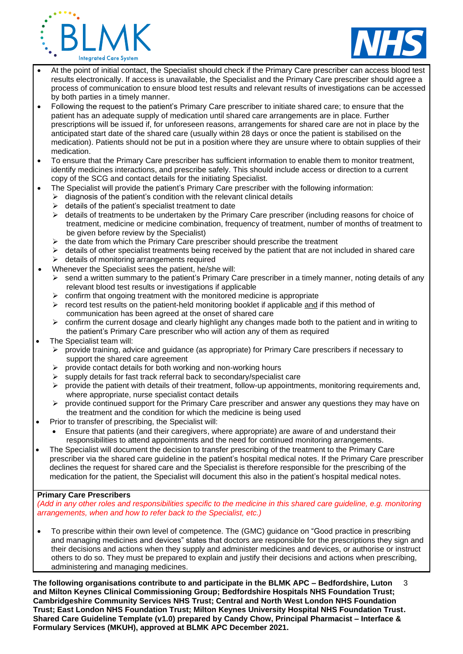



- At the point of initial contact, the Specialist should check if the Primary Care prescriber can access blood test results electronically. If access is unavailable, the Specialist and the Primary Care prescriber should agree a process of communication to ensure blood test results and relevant results of investigations can be accessed by both parties in a timely manner.
- Following the request to the patient's Primary Care prescriber to initiate shared care; to ensure that the patient has an adequate supply of medication until shared care arrangements are in place. Further prescriptions will be issued if, for unforeseen reasons, arrangements for shared care are not in place by the anticipated start date of the shared care (usually within 28 days or once the patient is stabilised on the medication). Patients should not be put in a position where they are unsure where to obtain supplies of their medication.
- To ensure that the Primary Care prescriber has sufficient information to enable them to monitor treatment, identify medicines interactions, and prescribe safely. This should include access or direction to a current copy of the SCG and contact details for the initiating Specialist.
	- The Specialist will provide the patient's Primary Care prescriber with the following information:
		- $\triangleright$  diagnosis of the patient's condition with the relevant clinical details
		- $\triangleright$  details of the patient's specialist treatment to date
		- ➢ details of treatments to be undertaken by the Primary Care prescriber (including reasons for choice of treatment, medicine or medicine combination, frequency of treatment, number of months of treatment to be given before review by the Specialist)
		- $\triangleright$  the date from which the Primary Care prescriber should prescribe the treatment
		- $\triangleright$  details of other specialist treatments being received by the patient that are not included in shared care
		- ➢ details of monitoring arrangements required
- Whenever the Specialist sees the patient, he/she will:
	- $\triangleright$  send a written summary to the patient's Primary Care prescriber in a timely manner, noting details of any relevant blood test results or investigations if applicable
	- $\triangleright$  confirm that ongoing treatment with the monitored medicine is appropriate
	- $\triangleright$  record test results on the patient-held monitoring booklet if applicable and if this method of communication has been agreed at the onset of shared care
	- $\triangleright$  confirm the current dosage and clearly highlight any changes made both to the patient and in writing to the patient's Primary Care prescriber who will action any of them as required
- The Specialist team will:
	- $\triangleright$  provide training, advice and guidance (as appropriate) for Primary Care prescribers if necessary to support the shared care agreement
	- ➢ provide contact details for both working and non-working hours
	- ➢ supply details for fast track referral back to secondary/specialist care
	- $\triangleright$  provide the patient with details of their treatment, follow-up appointments, monitoring requirements and, where appropriate, nurse specialist contact details
	- $\triangleright$  provide continued support for the Primary Care prescriber and answer any questions they may have on the treatment and the condition for which the medicine is being used
- Prior to transfer of prescribing, the Specialist will:
	- Ensure that patients (and their caregivers, where appropriate) are aware of and understand their responsibilities to attend appointments and the need for continued monitoring arrangements.
- The Specialist will document the decision to transfer prescribing of the treatment to the Primary Care prescriber via the shared care guideline in the patient's hospital medical notes. If the Primary Care prescriber declines the request for shared care and the Specialist is therefore responsible for the prescribing of the medication for the patient, the Specialist will document this also in the patient's hospital medical notes.

#### **Primary Care Prescribers**

*(Add in any other roles and responsibilities specific to the medicine in this shared care guideline, e.g. monitoring arrangements, when and how to refer back to the Specialist, etc.)*

• To prescribe within their own level of competence. The (GMC) guidance on "Good practice in prescribing and managing medicines and devices" states that doctors are responsible for the prescriptions they sign and their decisions and actions when they supply and administer medicines and devices, or authorise or instruct others to do so. They must be prepared to explain and justify their decisions and actions when prescribing, administering and managing medicines.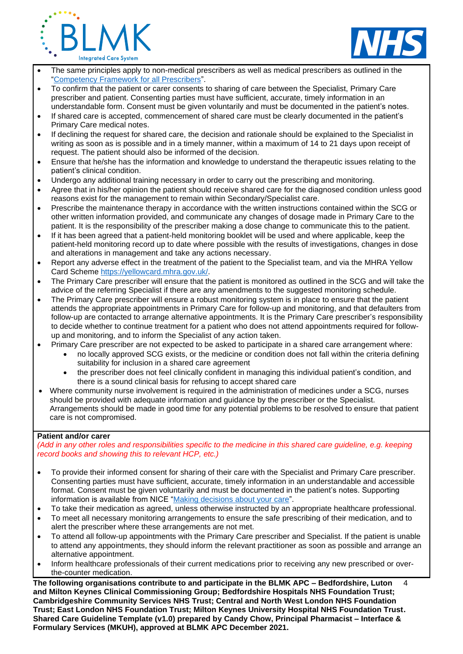



- The same principles apply to non-medical prescribers as well as medical prescribers as outlined in the ["Competency Framework for all Prescribers"](https://www.rpharms.com/Portals/0/RPS%20document%20library/Open%20access/Professional%20standards/Prescribing%20competency%20framework/prescribing-competency-framework.pdf).
- To confirm that the patient or carer consents to sharing of care between the Specialist, Primary Care prescriber and patient. Consenting parties must have sufficient, accurate, timely information in an understandable form. Consent must be given voluntarily and must be documented in the patient's notes.
- If shared care is accepted, commencement of shared care must be clearly documented in the patient's Primary Care medical notes.
- If declining the request for shared care, the decision and rationale should be explained to the Specialist in writing as soon as is possible and in a timely manner, within a maximum of 14 to 21 days upon receipt of request. The patient should also be informed of the decision.
- Ensure that he/she has the information and knowledge to understand the therapeutic issues relating to the patient's clinical condition.
- Undergo any additional training necessary in order to carry out the prescribing and monitoring.
- Agree that in his/her opinion the patient should receive shared care for the diagnosed condition unless good reasons exist for the management to remain within Secondary/Specialist care.
- Prescribe the maintenance therapy in accordance with the written instructions contained within the SCG or other written information provided, and communicate any changes of dosage made in Primary Care to the patient. It is the responsibility of the prescriber making a dose change to communicate this to the patient.
- If it has been agreed that a patient-held monitoring booklet will be used and where applicable, keep the patient-held monitoring record up to date where possible with the results of investigations, changes in dose and alterations in management and take any actions necessary.
- Report any adverse effect in the treatment of the patient to the Specialist team, and via the MHRA Yellow Card Scheme [https://yellowcard.mhra.gov.uk/.](https://yellowcard.mhra.gov.uk/)
- The Primary Care prescriber will ensure that the patient is monitored as outlined in the SCG and will take the advice of the referring Specialist if there are any amendments to the suggested monitoring schedule.
- The Primary Care prescriber will ensure a robust monitoring system is in place to ensure that the patient attends the appropriate appointments in Primary Care for follow-up and monitoring, and that defaulters from follow-up are contacted to arrange alternative appointments. It is the Primary Care prescriber's responsibility to decide whether to continue treatment for a patient who does not attend appointments required for followup and monitoring, and to inform the Specialist of any action taken.
- Primary Care prescriber are not expected to be asked to participate in a shared care arrangement where:
	- no locally approved SCG exists, or the medicine or condition does not fall within the criteria defining suitability for inclusion in a shared care agreement
	- the prescriber does not feel clinically confident in managing this individual patient's condition, and there is a sound clinical basis for refusing to accept shared care
- Where community nurse involvement is required in the administration of medicines under a SCG, nurses should be provided with adequate information and guidance by the prescriber or the Specialist. Arrangements should be made in good time for any potential problems to be resolved to ensure that patient care is not compromised.

#### **Patient and/or carer**

*(Add in any other roles and responsibilities specific to the medicine in this shared care guideline, e.g. keeping record books and showing this to relevant HCP, etc.)*

- To provide their informed consent for sharing of their care with the Specialist and Primary Care prescriber. Consenting parties must have sufficient, accurate, timely information in an understandable and accessible format. Consent must be given voluntarily and must be documented in the patient's notes. Supporting information is available from NICE ["Making decisions about your care"](https://www.nice.org.uk/about/nice-communities/nice-and-the-public/making-decisions-about-your-care).
- To take their medication as agreed, unless otherwise instructed by an appropriate healthcare professional.
- To meet all necessary monitoring arrangements to ensure the safe prescribing of their medication, and to alert the prescriber where these arrangements are not met.
- To attend all follow-up appointments with the Primary Care prescriber and Specialist. If the patient is unable to attend any appointments, they should inform the relevant practitioner as soon as possible and arrange an alternative appointment.
- Inform healthcare professionals of their current medications prior to receiving any new prescribed or overthe-counter medication.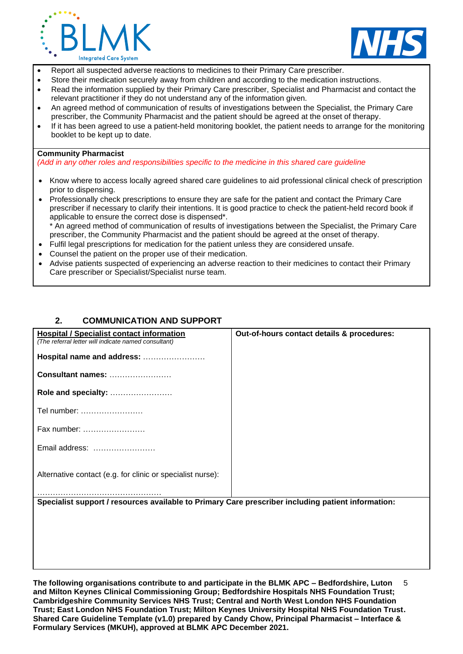



- Report all suspected adverse reactions to medicines to their Primary Care prescriber.
- Store their medication securely away from children and according to the medication instructions.
- Read the information supplied by their Primary Care prescriber, Specialist and Pharmacist and contact the relevant practitioner if they do not understand any of the information given.
- An agreed method of communication of results of investigations between the Specialist, the Primary Care prescriber, the Community Pharmacist and the patient should be agreed at the onset of therapy.
- If it has been agreed to use a patient-held monitoring booklet, the patient needs to arrange for the monitoring booklet to be kept up to date.

#### **Community Pharmacist**

*(Add in any other roles and responsibilities specific to the medicine in this shared care guideline*

- Know where to access locally agreed shared care guidelines to aid professional clinical check of prescription prior to dispensing.
- Professionally check prescriptions to ensure they are safe for the patient and contact the Primary Care prescriber if necessary to clarify their intentions. It is good practice to check the patient-held record book if applicable to ensure the correct dose is dispensed\*.

\* An agreed method of communication of results of investigations between the Specialist, the Primary Care prescriber, the Community Pharmacist and the patient should be agreed at the onset of therapy.

- Fulfil legal prescriptions for medication for the patient unless they are considered unsafe.
- Counsel the patient on the proper use of their medication.
- Advise patients suspected of experiencing an adverse reaction to their medicines to contact their Primary Care prescriber or Specialist/Specialist nurse team.

# **2. COMMUNICATION AND SUPPORT**

| Out-of-hours contact details & procedures:                                                         |
|----------------------------------------------------------------------------------------------------|
|                                                                                                    |
|                                                                                                    |
|                                                                                                    |
|                                                                                                    |
|                                                                                                    |
|                                                                                                    |
|                                                                                                    |
| Specialist support / resources available to Primary Care prescriber including patient information: |
|                                                                                                    |
|                                                                                                    |
|                                                                                                    |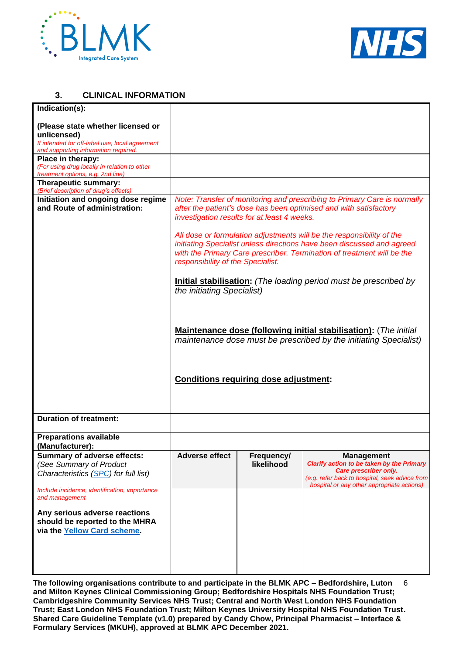



# **3. CLINICAL INFORMATION**

| Indication(s):                                                                         |                                                                                                                  |            |                                                                          |
|----------------------------------------------------------------------------------------|------------------------------------------------------------------------------------------------------------------|------------|--------------------------------------------------------------------------|
| (Please state whether licensed or                                                      |                                                                                                                  |            |                                                                          |
| unlicensed)                                                                            |                                                                                                                  |            |                                                                          |
| If intended for off-label use, local agreement<br>and supporting information required. |                                                                                                                  |            |                                                                          |
| Place in therapy:                                                                      |                                                                                                                  |            |                                                                          |
| (For using drug locally in relation to other<br>treatment options, e.g. 2nd line)      |                                                                                                                  |            |                                                                          |
| Therapeutic summary:                                                                   |                                                                                                                  |            |                                                                          |
| (Brief description of drug's effects)                                                  |                                                                                                                  |            |                                                                          |
| Initiation and ongoing dose regime<br>and Route of administration:                     |                                                                                                                  |            | Note: Transfer of monitoring and prescribing to Primary Care is normally |
|                                                                                        | after the patient's dose has been optimised and with satisfactory<br>investigation results for at least 4 weeks. |            |                                                                          |
|                                                                                        |                                                                                                                  |            | All dose or formulation adjustments will be the responsibility of the    |
|                                                                                        |                                                                                                                  |            | initiating Specialist unless directions have been discussed and agreed   |
|                                                                                        |                                                                                                                  |            | with the Primary Care prescriber. Termination of treatment will be the   |
|                                                                                        | responsibility of the Specialist.                                                                                |            |                                                                          |
|                                                                                        |                                                                                                                  |            | Initial stabilisation: (The loading period must be prescribed by         |
|                                                                                        | the initiating Specialist)                                                                                       |            |                                                                          |
|                                                                                        |                                                                                                                  |            |                                                                          |
|                                                                                        |                                                                                                                  |            |                                                                          |
|                                                                                        |                                                                                                                  |            |                                                                          |
|                                                                                        |                                                                                                                  |            | <b>Maintenance dose (following initial stabilisation):</b> (The initial  |
|                                                                                        |                                                                                                                  |            | maintenance dose must be prescribed by the initiating Specialist)        |
|                                                                                        |                                                                                                                  |            |                                                                          |
|                                                                                        |                                                                                                                  |            |                                                                          |
|                                                                                        |                                                                                                                  |            |                                                                          |
|                                                                                        | <b>Conditions requiring dose adjustment:</b>                                                                     |            |                                                                          |
|                                                                                        |                                                                                                                  |            |                                                                          |
|                                                                                        |                                                                                                                  |            |                                                                          |
| <b>Duration of treatment:</b>                                                          |                                                                                                                  |            |                                                                          |
| <b>Preparations available</b><br>(Manufacturer):                                       |                                                                                                                  |            |                                                                          |
| <b>Summary of adverse effects:</b>                                                     | <b>Adverse effect</b>                                                                                            | Frequency/ | <b>Management</b>                                                        |
| (See Summary of Product                                                                |                                                                                                                  | likelihood | Clarify action to be taken by the Primary                                |
| Characteristics (SPC) for full list)                                                   |                                                                                                                  |            | Care prescriber only.<br>(e.g. refer back to hospital, seek advice from  |
| Include incidence, identification, importance                                          |                                                                                                                  |            | hospital or any other appropriate actions)                               |
| and management                                                                         |                                                                                                                  |            |                                                                          |
|                                                                                        |                                                                                                                  |            |                                                                          |
| Any serious adverse reactions<br>should be reported to the MHRA                        |                                                                                                                  |            |                                                                          |
| via the Yellow Card scheme.                                                            |                                                                                                                  |            |                                                                          |
|                                                                                        |                                                                                                                  |            |                                                                          |
|                                                                                        |                                                                                                                  |            |                                                                          |
|                                                                                        |                                                                                                                  |            |                                                                          |
|                                                                                        |                                                                                                                  |            |                                                                          |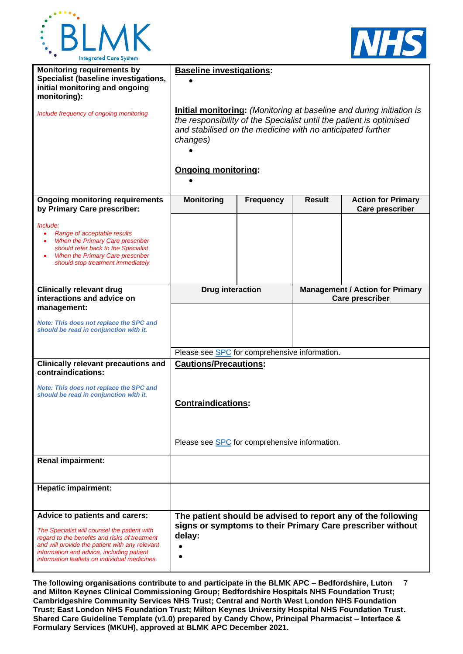



| <b>Monitoring requirements by</b><br>Specialist (baseline investigations,<br>initial monitoring and ongoing<br>monitoring):                                                                                                                                                     | <b>Baseline investigations:</b>                                                                                                                                                                                                                            |                  |                                                                  |                                                     |
|---------------------------------------------------------------------------------------------------------------------------------------------------------------------------------------------------------------------------------------------------------------------------------|------------------------------------------------------------------------------------------------------------------------------------------------------------------------------------------------------------------------------------------------------------|------------------|------------------------------------------------------------------|-----------------------------------------------------|
| Include frequency of ongoing monitoring                                                                                                                                                                                                                                         | <b>Initial monitoring:</b> (Monitoring at baseline and during initiation is<br>the responsibility of the Specialist until the patient is optimised<br>and stabilised on the medicine with no anticipated further<br>changes)<br><b>Ongoing monitoring:</b> |                  |                                                                  |                                                     |
| <b>Ongoing monitoring requirements</b><br>by Primary Care prescriber:                                                                                                                                                                                                           | <b>Monitoring</b>                                                                                                                                                                                                                                          | <b>Frequency</b> | <b>Result</b>                                                    | <b>Action for Primary</b><br><b>Care prescriber</b> |
| Include:<br>Range of acceptable results<br>When the Primary Care prescriber<br>should refer back to the Specialist<br>When the Primary Care prescriber<br>should stop treatment immediately                                                                                     |                                                                                                                                                                                                                                                            |                  |                                                                  |                                                     |
| <b>Clinically relevant drug</b><br>interactions and advice on                                                                                                                                                                                                                   | <b>Drug interaction</b>                                                                                                                                                                                                                                    |                  | <b>Management / Action for Primary</b><br><b>Care prescriber</b> |                                                     |
| management:                                                                                                                                                                                                                                                                     |                                                                                                                                                                                                                                                            |                  |                                                                  |                                                     |
| Note: This does not replace the SPC and<br>should be read in conjunction with it.                                                                                                                                                                                               |                                                                                                                                                                                                                                                            |                  |                                                                  |                                                     |
|                                                                                                                                                                                                                                                                                 | Please see SPC for comprehensive information.                                                                                                                                                                                                              |                  |                                                                  |                                                     |
| <b>Clinically relevant precautions and</b><br>contraindications:                                                                                                                                                                                                                | <b>Cautions/Precautions:</b>                                                                                                                                                                                                                               |                  |                                                                  |                                                     |
| <b>Note: This does not replace the SPC and</b><br>should be read in conjunction with it.                                                                                                                                                                                        | <b>Contraindications:</b>                                                                                                                                                                                                                                  |                  |                                                                  |                                                     |
|                                                                                                                                                                                                                                                                                 | Please see <b>SPC</b> for comprehensive information.                                                                                                                                                                                                       |                  |                                                                  |                                                     |
| Renal impairment:                                                                                                                                                                                                                                                               |                                                                                                                                                                                                                                                            |                  |                                                                  |                                                     |
| <b>Hepatic impairment:</b>                                                                                                                                                                                                                                                      |                                                                                                                                                                                                                                                            |                  |                                                                  |                                                     |
| Advice to patients and carers:<br>The Specialist will counsel the patient with<br>regard to the benefits and risks of treatment<br>and will provide the patient with any relevant<br>information and advice, including patient<br>information leaflets on individual medicines. | The patient should be advised to report any of the following<br>signs or symptoms to their Primary Care prescriber without<br>delay:                                                                                                                       |                  |                                                                  |                                                     |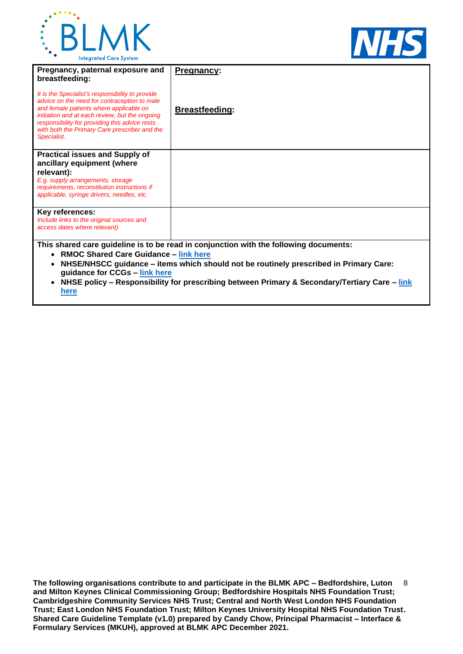



| Pregnancy, paternal exposure and<br>breastfeeding:                                                                                                                                                                                                                                                              | <b>Pregnancy:</b>                                                                                   |
|-----------------------------------------------------------------------------------------------------------------------------------------------------------------------------------------------------------------------------------------------------------------------------------------------------------------|-----------------------------------------------------------------------------------------------------|
| It is the Specialist's responsibility to provide<br>advice on the need for contraception to male<br>and female patients where applicable on<br>initiation and at each review, but the ongoing<br>responsibility for providing this advice rests<br>with both the Primary Care prescriber and the<br>Specialist. | <b>Breastfeeding:</b>                                                                               |
| <b>Practical issues and Supply of</b><br>ancillary equipment (where                                                                                                                                                                                                                                             |                                                                                                     |
| relevant):                                                                                                                                                                                                                                                                                                      |                                                                                                     |
| E.g. supply arrangements, storage<br>requirements, reconstitution instructions if<br>applicable, syringe drivers, needles, etc.                                                                                                                                                                                 |                                                                                                     |
| <b>Key references:</b>                                                                                                                                                                                                                                                                                          |                                                                                                     |
| Include links to the original sources and<br>access dates where relevant)                                                                                                                                                                                                                                       |                                                                                                     |
|                                                                                                                                                                                                                                                                                                                 | This shared care guideline is to be read in conjunction with the following documents:               |
| <b>RMOC Shared Care Guidance - link here</b><br>$\bullet$                                                                                                                                                                                                                                                       |                                                                                                     |
|                                                                                                                                                                                                                                                                                                                 | NHSE/NHSCC guidance - items which should not be routinely prescribed in Primary Care:               |
| guidance for CCGs - link here                                                                                                                                                                                                                                                                                   | NILIAE de Perro - El corrent Professor de la citatura de la Estacada Arresta de la Francesa Arresta |

• **NHSE policy – Responsibility for prescribing between Primary & Secondary/Tertiary Care – [link](https://www.england.nhs.uk/publication/responsibility-for-prescribing-between-primary-and-secondary-tertiary-care/)  [here](https://www.england.nhs.uk/publication/responsibility-for-prescribing-between-primary-and-secondary-tertiary-care/)**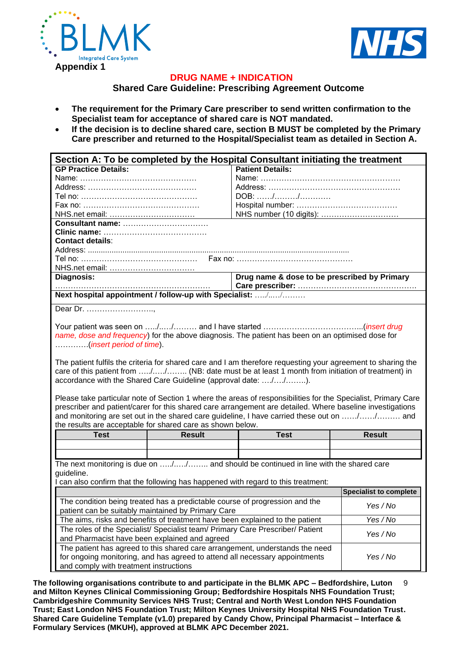



# **DRUG NAME + INDICATION**

### **Shared Care Guideline: Prescribing Agreement Outcome**

- **The requirement for the Primary Care prescriber to send written confirmation to the Specialist team for acceptance of shared care is NOT mandated.**
- **If the decision is to decline shared care, section B MUST be completed by the Primary Care prescriber and returned to the Hospital/Specialist team as detailed in Section A.**

|                                                                                                                                                                    | Section A: To be completed by the Hospital Consultant initiating the treatment |                                                                                                               |                               |  |  |  |
|--------------------------------------------------------------------------------------------------------------------------------------------------------------------|--------------------------------------------------------------------------------|---------------------------------------------------------------------------------------------------------------|-------------------------------|--|--|--|
| <b>GP Practice Details:</b>                                                                                                                                        |                                                                                | <b>Patient Details:</b>                                                                                       |                               |  |  |  |
|                                                                                                                                                                    |                                                                                |                                                                                                               |                               |  |  |  |
|                                                                                                                                                                    |                                                                                |                                                                                                               |                               |  |  |  |
|                                                                                                                                                                    |                                                                                | DOB: //                                                                                                       |                               |  |  |  |
|                                                                                                                                                                    |                                                                                |                                                                                                               |                               |  |  |  |
|                                                                                                                                                                    |                                                                                |                                                                                                               |                               |  |  |  |
|                                                                                                                                                                    |                                                                                |                                                                                                               |                               |  |  |  |
|                                                                                                                                                                    |                                                                                |                                                                                                               |                               |  |  |  |
| <b>Contact details:</b>                                                                                                                                            |                                                                                |                                                                                                               |                               |  |  |  |
|                                                                                                                                                                    |                                                                                |                                                                                                               |                               |  |  |  |
|                                                                                                                                                                    |                                                                                |                                                                                                               |                               |  |  |  |
|                                                                                                                                                                    |                                                                                |                                                                                                               |                               |  |  |  |
| Diagnosis:                                                                                                                                                         |                                                                                | Drug name & dose to be prescribed by Primary                                                                  |                               |  |  |  |
|                                                                                                                                                                    |                                                                                |                                                                                                               |                               |  |  |  |
| Next hospital appointment / follow-up with Specialist: //                                                                                                          |                                                                                |                                                                                                               |                               |  |  |  |
| Dear Dr.                                                                                                                                                           |                                                                                |                                                                                                               |                               |  |  |  |
|                                                                                                                                                                    |                                                                                |                                                                                                               |                               |  |  |  |
|                                                                                                                                                                    |                                                                                |                                                                                                               |                               |  |  |  |
|                                                                                                                                                                    |                                                                                | name, dose and frequency) for the above diagnosis. The patient has been on an optimised dose for              |                               |  |  |  |
| (insert period of time).                                                                                                                                           |                                                                                |                                                                                                               |                               |  |  |  |
|                                                                                                                                                                    |                                                                                |                                                                                                               |                               |  |  |  |
|                                                                                                                                                                    |                                                                                |                                                                                                               |                               |  |  |  |
|                                                                                                                                                                    |                                                                                | The patient fulfils the criteria for shared care and I am therefore requesting your agreement to sharing the  |                               |  |  |  |
| care of this patient from // (NB: date must be at least 1 month from initiation of treatment) in<br>accordance with the Shared Care Guideline (approval date: //). |                                                                                |                                                                                                               |                               |  |  |  |
|                                                                                                                                                                    |                                                                                |                                                                                                               |                               |  |  |  |
|                                                                                                                                                                    |                                                                                |                                                                                                               |                               |  |  |  |
|                                                                                                                                                                    |                                                                                |                                                                                                               |                               |  |  |  |
|                                                                                                                                                                    |                                                                                | Please take particular note of Section 1 where the areas of responsibilities for the Specialist, Primary Care |                               |  |  |  |
|                                                                                                                                                                    |                                                                                | prescriber and patient/carer for this shared care arrangement are detailed. Where baseline investigations     |                               |  |  |  |
|                                                                                                                                                                    |                                                                                | and monitoring are set out in the shared care guideline, I have carried these out on // and                   |                               |  |  |  |
| the results are acceptable for shared care as shown below.                                                                                                         |                                                                                |                                                                                                               |                               |  |  |  |
| <b>Test</b>                                                                                                                                                        | <b>Result</b>                                                                  | <b>Test</b>                                                                                                   | <b>Result</b>                 |  |  |  |
|                                                                                                                                                                    |                                                                                |                                                                                                               |                               |  |  |  |
|                                                                                                                                                                    |                                                                                |                                                                                                               |                               |  |  |  |
|                                                                                                                                                                    |                                                                                | The next monitoring is due on // and should be continued in line with the shared care                         |                               |  |  |  |
| guideline.                                                                                                                                                         |                                                                                |                                                                                                               |                               |  |  |  |
|                                                                                                                                                                    |                                                                                | I can also confirm that the following has happened with regard to this treatment:                             |                               |  |  |  |
|                                                                                                                                                                    |                                                                                |                                                                                                               | <b>Specialist to complete</b> |  |  |  |
|                                                                                                                                                                    |                                                                                | The condition being treated has a predictable course of progression and the                                   |                               |  |  |  |
|                                                                                                                                                                    | patient can be suitably maintained by Primary Care                             |                                                                                                               | Yes / No                      |  |  |  |
|                                                                                                                                                                    |                                                                                | The aims, risks and benefits of treatment have been explained to the patient                                  | Yes / No                      |  |  |  |
|                                                                                                                                                                    |                                                                                |                                                                                                               |                               |  |  |  |
|                                                                                                                                                                    |                                                                                | The roles of the Specialist/ Specialist team/ Primary Care Prescriber/ Patient                                | Yes / No                      |  |  |  |
| and Pharmacist have been explained and agreed                                                                                                                      |                                                                                |                                                                                                               |                               |  |  |  |
|                                                                                                                                                                    |                                                                                | The patient has agreed to this shared care arrangement, understands the need                                  |                               |  |  |  |
|                                                                                                                                                                    |                                                                                | for ongoing monitoring, and has agreed to attend all necessary appointments                                   | Yes / No                      |  |  |  |
| and comply with treatment instructions                                                                                                                             |                                                                                |                                                                                                               |                               |  |  |  |